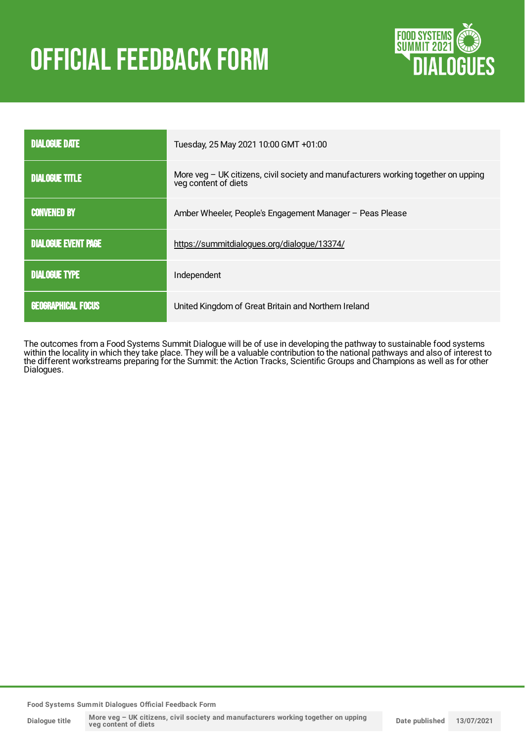# **OFFICIAL FEEDBACK FORM**



| <b>DIALOGUE DATE</b>       | Tuesday, 25 May 2021 10:00 GMT +01:00                                                                      |
|----------------------------|------------------------------------------------------------------------------------------------------------|
| <b>DIALOGUE TITLE</b>      | More veg - UK citizens, civil society and manufacturers working together on upping<br>veg content of diets |
| <b>CONVENED BY</b>         | Amber Wheeler, People's Engagement Manager - Peas Please                                                   |
| <b>DIALOGUE EVENT PAGE</b> | https://summitdialogues.org/dialogue/13374/                                                                |
| <b>DIALOGUE TYPE</b>       | Independent                                                                                                |
| <b>GEOGRAPHICAL FOCUS</b>  | United Kingdom of Great Britain and Northern Ireland                                                       |

The outcomes from a Food Systems Summit Dialogue will be of use in developing the pathway to sustainable food systems within the locality in which they take place. They will be a valuable contribution to the national pathways and also of interest to the different workstreams preparing for the Summit: the Action Tracks, Scientific Groups and Champions as well as for other Dialogues.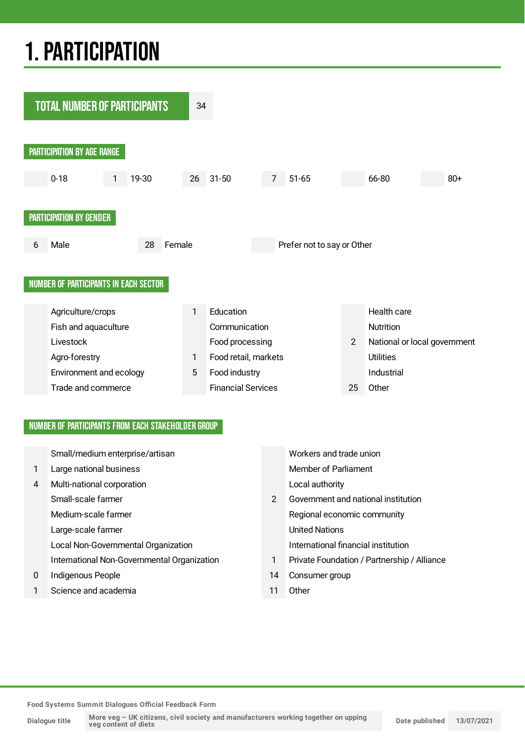## 1.PARTICIPATION



### NUMBER OF PARTICIPANTS FROM EACH STAKEHOLDER GROUP

|              | Small/medium enterprise/artisan             |               | Workers and trade union                     |
|--------------|---------------------------------------------|---------------|---------------------------------------------|
| $\mathbf{1}$ | Large national business                     |               | Member of Parliament                        |
| 4            | Multi-national corporation                  |               | Local authority                             |
|              | Small-scale farmer                          | $\mathcal{P}$ | Government and national institution         |
|              | Medium-scale farmer                         |               | Regional economic community                 |
|              | Large-scale farmer                          |               | <b>United Nations</b>                       |
|              | Local Non-Governmental Organization         |               | International financial institution         |
|              | International Non-Governmental Organization |               | Private Foundation / Partnership / Alliance |
| $\mathbf{0}$ | Indigenous People                           | 14            | Consumer group                              |
|              | Science and academia                        |               | Other                                       |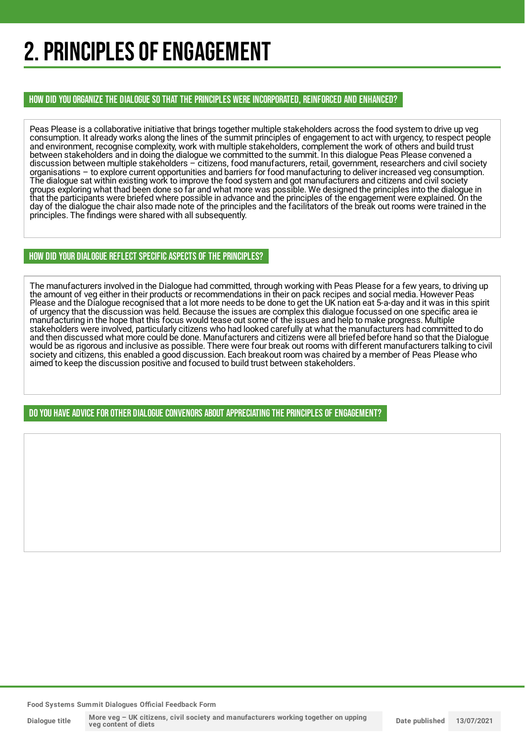## 2. PRINCIPLES OF ENGAGEMENT

HOW DID YOU ORGANIZE THE DIALOGUE SO THAT THE PRINCIPLES WERE INCORPORATED, REINFORCED AND ENHANCED?

Peas Please is a collaborative initiative that brings together multiple stakeholders across the food system to drive up veg consumption. It already works along the lines of the summit principles of engagement to act with urgency, to respect people and environment, recognise complexity, work with multiple stakeholders, complement the work of others and build trust between stakeholders and in doing the dialogue we committed to the summit. In this dialogue Peas Please convened a discussion between multiple stakeholders – citizens, food manufacturers, retail, government, researchers and civil society organisations – to explore current opportunities and barriers for food manufacturing to deliver increased veg consumption. The dialogue sat within existing work to improve the food system and got manufacturers and citizens and civil society groups exploring what thad been done so far and what more was possible. We designed the principles into the dialogue in that the participants were briefed where possible in advance and the principles of the engagement were explained. On the day of the dialogue the chair also made note of the principles and the facilitators of the break out rooms were trained in the principles. The findings were shared with all subsequently.

### HOW DID YOUR DIALOGUE REFLECT SPECIFIC ASPECTS OF THE PRINCIPLES?

The manufacturers involved in the Dialogue had committed, through working with Peas Please for a few years, to driving up the amount of veg either in their products or recommendations in their on pack recipes and social media. However Peas Please and the Dialogue recognised that a lot more needs to be done to get the UK nation eat 5-a-day and it was in this spirit of urgency that the discussion was held. Because the issues are complex this dialogue focussed on one specific area ie manufacturing in the hope that this focus would tease out some of the issues and help to make progress. Multiple stakeholders were involved, particularly citizens who had looked carefully at what the manufacturers had committed to do and then discussed what more could be done. Manufacturers and citizens were all briefed before hand so that the Dialogue would be as rigorous and inclusive as possible. There were four break out rooms with different manufacturers talking to civil society and citizens, this enabled a good discussion. Each breakout room was chaired by a member of Peas Please who aimed to keep the discussion positive and focused to build trust between stakeholders.

DO YOU HAVE ADVICE FOR OTHER DIALOGUE CONVENORS ABOUT APPRECIATINGTHE PRINCIPLES OF ENGAGEMENT?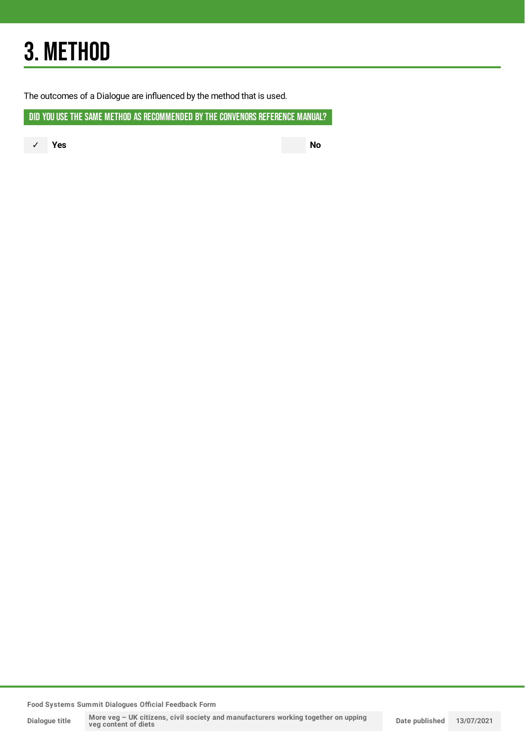## 3. METHOD

The outcomes of a Dialogue are influenced by the method that is used.

DID YOU USE THE SAME METHOD AS RECOMMENDED BY THE CONVENORS REFERENCE MANUAL?

✓ **Yes No**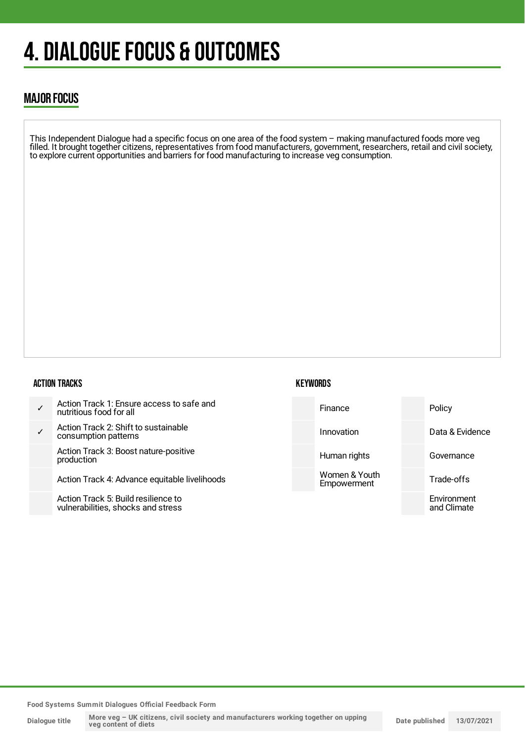## 4. DIALOGUE FOCUS & OUTCOMES

## MAJOR FOCUS

This Independent Dialogue had a specific focus on one area of the food system – making manufactured foods more veg filled. It brought together citizens, representatives from food manufacturers, government, researchers, retail and civil society, to explore current opportunities and barriers for food manufacturing to increase veg consumption.

#### ACTION TRACKS

| Action Track 1: Ensure access to safe and<br>nutritious food for all      | Finance                      | Policy                     |
|---------------------------------------------------------------------------|------------------------------|----------------------------|
| Action Track 2: Shift to sustainable<br>consumption patterns              | Innovation                   | Data & Evidence            |
| Action Track 3: Boost nature-positive<br>production                       | Human rights                 | Governance                 |
| Action Track 4: Advance equitable livelihoods                             | Women & Youth<br>Empowerment | Trade-offs                 |
| Action Track 5: Build resilience to<br>vulnerabilities, shocks and stress |                              | Environment<br>and Climate |

**KEYWORDS**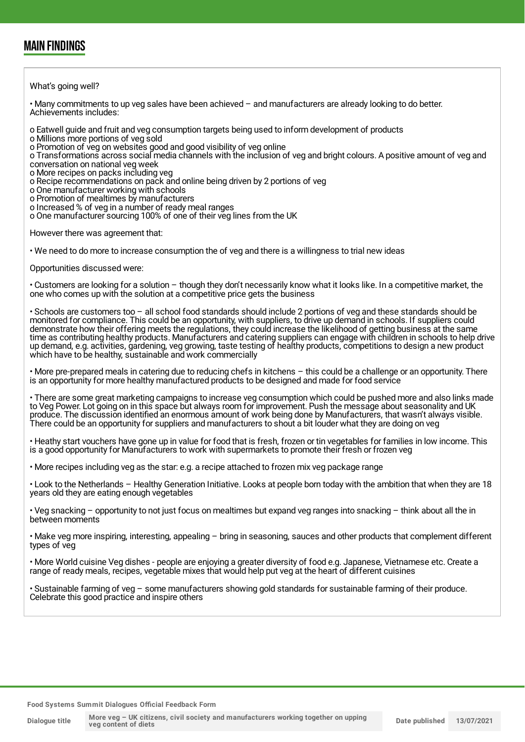### MAIN FINDINGS

What's going well?

• Many commitments to up veg sales have been achieved – and manufacturers are already looking to do better. Achievements includes:

o Eatwell guide and fruit and veg consumption targets being used to inform development of products

o Millions more portions of veg sold

o Promotion of veg on websites good and good visibility of veg online

o Transformations across social media channels with the inclusion of veg and bright colours. A positive amount of veg and conversation on national veg week

o More recipes on packs including veg

o Recipe recommendations on pack and online being driven by 2 portions of veg

o One manufacturer working with schools

o Promotion of mealtimes by manufacturers

o Increased % of veg in a number of ready meal ranges

o One manufacturer sourcing 100% of one of their veg lines from the UK

However there was agreement that:

• We need to do more to increase consumption the of veg and there is a willingness to trial new ideas

Opportunities discussed were:

• Customers are looking for a solution – though they don't necessarily know what it looks like. In a competitive market, the one who comes up with the solution at a competitive price gets the business

• Schools are customers too – all school food standards should include 2 portions of veg and these standards should be monitored for compliance. This could be an opportunity, with suppliers, to drive up demand in schools. If suppliers could demonstrate how their offering meets the regulations, they could increase the likelihood of getting business at the same time as contributing healthy products. Manufacturers and catering suppliers can engage with children in schools to help drive up demand, e.g. activities, gardening, veg growing, taste testing of healthy products, competitions to design a new product which have to be healthy, sustainable and work commercially

• More pre-prepared meals in catering due to reducing chefs in kitchens – this could be a challenge or an opportunity. There is an opportunity for more healthy manufactured products to be designed and made for food service

• There are some great marketing campaigns to increase veg consumption which could be pushed more and also links made to Veg Power. Lot going on in this space but always room for improvement. Push the message about seasonality and UK produce. The discussion identified an enormous amount of work being done by Manufacturers, that wasn't always visible. There could be an opportunity for suppliers and manufacturers to shout a bit louder what they are doing on veg

• Heathy start vouchers have gone up in value for food that is fresh, frozen or tin vegetables for families in low income. This is a good opportunity for Manufacturers to work with supermarkets to promote their fresh or frozen veg

• More recipes including veg as the star: e.g. a recipe attached to frozen mix veg package range

• Look to the Netherlands – Healthy Generation Initiative. Looks at people born today with the ambition that when they are 18 years old they are eating enough vegetables

• Veg snacking – opportunity to not just focus on mealtimes but expand veg ranges into snacking – think about all the in between moments

• Make veg more inspiring, interesting, appealing – bring in seasoning, sauces and other products that complement different types of veg

• More World cuisine Veg dishes - people are enjoying a greater diversity of food e.g. Japanese, Vietnamese etc. Create a range of ready meals, recipes, vegetable mixes that would help put veg at the heart of different cuisines

• Sustainable farming of veg – some manufacturers showing gold standards for sustainable farming of their produce. Celebrate this good practice and inspire others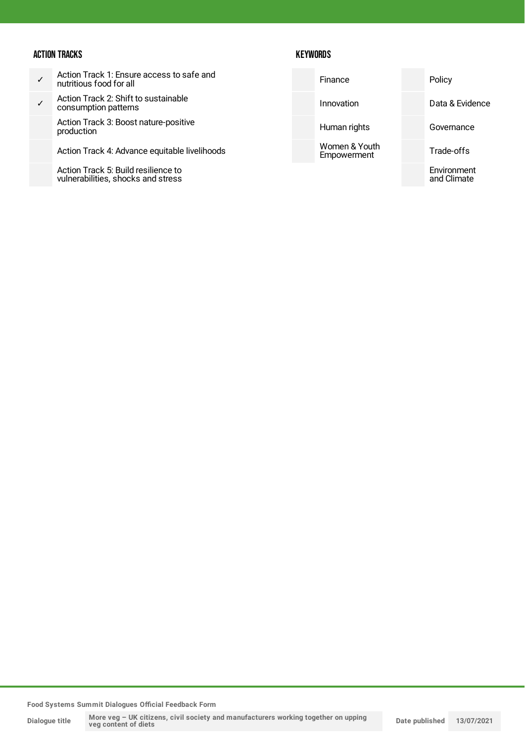### ACTION TRACKS

### **KEYWORDS**

| Action Track 1: Ensure access to safe and<br>nutritious food for all          | Finance      | Policy                     |
|-------------------------------------------------------------------------------|--------------|----------------------------|
| Action Track 2: Shift to sustainable<br>consumption patterns                  | Innovation   | Data & Evidence            |
| Action Track 3: Boost nature-positive<br>production                           | Human rights | Governance                 |
| Women & Youth<br>Action Track 4: Advance equitable livelihoods<br>Empowerment |              | Trade-offs                 |
| Action Track 5: Build resilience to<br>vulnerabilities, shocks and stress     |              | Environment<br>and Climate |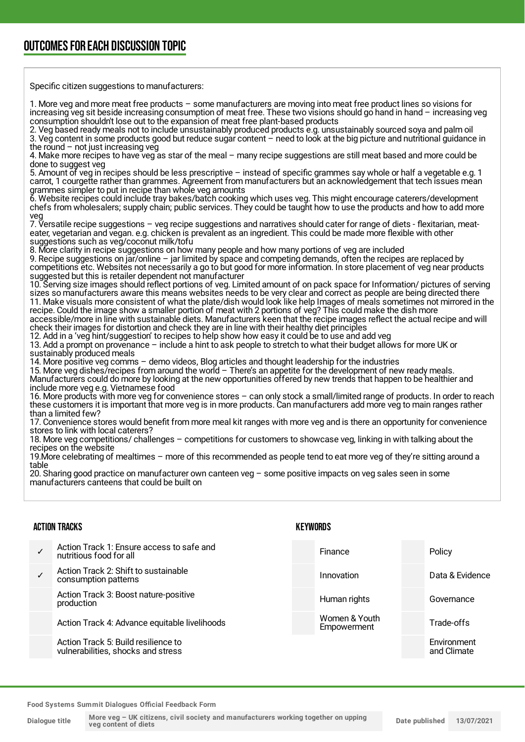## OUTCOMESFOR EACH DISCUSSION TOPIC

Specific citizen suggestions to manufacturers:

1. More veg and more meat free products – some manufacturers are moving into meat free product lines so visions for increasing veg sit beside increasing consumption of meat free. These two visions should go hand in hand – increasing veg consumption shouldn't lose out to the expansion of meat free plant-based products

2. Veg based ready meals not to include unsustainably produced products e.g. unsustainably sourced soya and palm oil 3. Veg content in some products good but reduce sugar content – need to look at the big picture and nutritional guidance in the round  $-$  not just increasing veg

4. Make more recipes to have veg as star of the meal – many recipe suggestions are still meat based and more could be done to suggest veg

5. Amount of veg in recipes should be less prescriptive – instead of specific grammes say whole or half a vegetable e.g. 1 carrot, 1 courgette rather than grammes. Agreement from manufacturers but an acknowledgement that tech issues mean grammes simpler to put in recipe than whole veg amounts

6. Website recipes could include tray bakes/batch cooking which uses veg. This might encourage caterers/development chefs from wholesalers; supply chain; public services. They could be taught how to use the products and how to add more veg

7. Versatile recipe suggestions – veg recipe suggestions and narratives should cater for range of diets - flexitarian, meateater, vegetarian and vegan. e.g. chicken is prevalent as an ingredient. This could be made more flexible with other suggestions such as veg/coconut milk/tofu

8. More clarity in recipe suggestions on how many people and how many portions of veg are included 9. Recipe suggestions on jar/online – jar limited by space and competing demands, often the recipes are replaced by competitions etc. Websites not necessarily a go to but good for more information. In store placement of veg near products

suggested but this is retailer dependent not manufacturer 10. Serving size images should reflect portions of veg. Limited amount of on pack space for Information/ pictures of serving sizes so manufacturers aware this means websites needs to be very clear and correct as people are being directed there 11. Make visuals more consistent of what the plate/dish would look like help Images of meals sometimes not mirrored in the recipe. Could the image show a smaller portion of meat with 2 portions of veg? This could make the dish more

accessible/more in line with sustainable diets. Manufacturers keen that the recipe images reflect the actual recipe and will check their images for distortion and check they are in line with their healthy diet principles

12. Add in a 'veg hint/suggestion' to recipes to help show how easy it could be to use and add veg

13. Add a prompt on provenance – include a hint to ask people to stretch to what their budget allows for more UK or sustainably produced meals

14. More positive veg comms – demo videos, Blog articles and thought leadership for the industries

15. More veg dishes/recipes from around the world – There's an appetite for the development of new ready meals. Manufacturers could do more by looking at the new opportunities offered by new trends that happen to be healthier and include more veg e.g. Vietnamese food

16. More products with more veg for convenience stores – can only stock a small/limited range of products. In order to reach these customers it is important that more veg is in more products. Can manufacturers add more veg to main ranges rather than a limited few?

17. Convenience stores would benefit from more meal kit ranges with more veg and is there an opportunity for convenience stores to link with local caterers?

18. More veg competitions/ challenges – competitions for customers to showcase veg, linking in with talking about the recipes on the website

19.More celebrating of mealtimes – more of this recommended as people tend to eat more veg of they're sitting around a table

20. Sharing good practice on manufacturer own canteen veg – some positive impacts on veg sales seen in some manufacturers canteens that could be built on

#### ACTION TRACKS

#### ✓ Action Track 1: Ensure access to safe and nutritious food for all ✓ Action Track 2: Shift to sustainable consumption patterns Action Track 3: Boost nature-positive production Action Track 4: Advance equitable livelihoods Action Track 5: Build resilience to vulnerabilities, shocks and stress Finance Policy Innovation **Data & Evidence** Human rights **Governance** Women & Youth **Empowerment** Trade-offs **Environment** and Climate

**KEYWORDS**